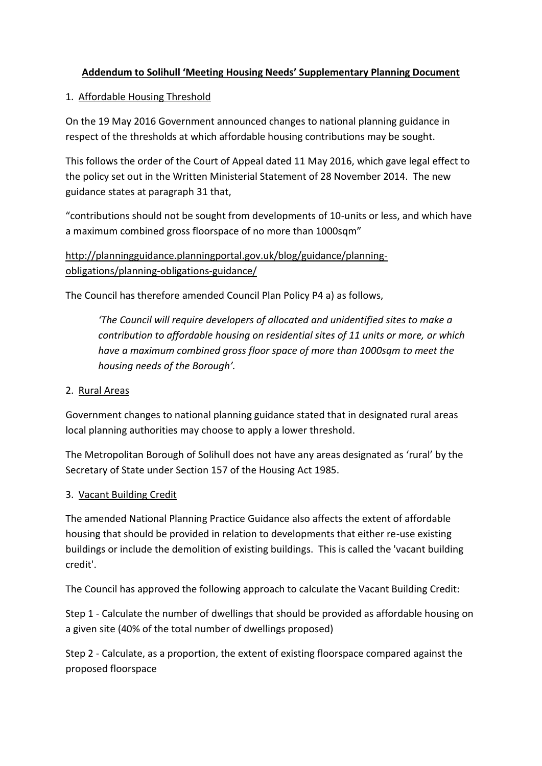## **Addendum to Solihull 'Meeting Housing Needs' Supplementary Planning Document**

## 1. Affordable Housing Threshold

On the 19 May 2016 Government announced changes to national planning guidance in respect of the thresholds at which affordable housing contributions may be sought.

This follows the order of the Court of Appeal dated 11 May 2016, which gave legal effect to the policy set out in the Written Ministerial Statement of 28 November 2014. The new guidance states at paragraph 31 that,

"contributions should not be sought from developments of 10-units or less, and which have a maximum combined gross floorspace of no more than 1000sqm"

[http://planningguidance.planningportal.gov.uk/blog/guidance/planning](http://planningguidance.planningportal.gov.uk/blog/guidance/planning-obligations/planning-obligations-guidance/)[obligations/planning-obligations-guidance/](http://planningguidance.planningportal.gov.uk/blog/guidance/planning-obligations/planning-obligations-guidance/) 

The Council has therefore amended Council Plan Policy P4 a) as follows,

*'The Council will require developers of allocated and unidentified sites to make a contribution to affordable housing on residential sites of 11 units or more, or which have a maximum combined gross floor space of more than 1000sqm to meet the housing needs of the Borough'.* 

## 2. Rural Areas

Government changes to national planning guidance stated that in designated rural areas local planning authorities may choose to apply a lower threshold.

The Metropolitan Borough of Solihull does not have any areas designated as 'rural' by the Secretary of State under Section 157 of the Housing Act 1985.

## 3. Vacant Building Credit

The amended National Planning Practice Guidance also affects the extent of affordable housing that should be provided in relation to developments that either re-use existing buildings or include the demolition of existing buildings. This is called the 'vacant building credit'.

The Council has approved the following approach to calculate the Vacant Building Credit:

Step 1 - Calculate the number of dwellings that should be provided as affordable housing on a given site (40% of the total number of dwellings proposed)

Step 2 - Calculate, as a proportion, the extent of existing floorspace compared against the proposed floorspace